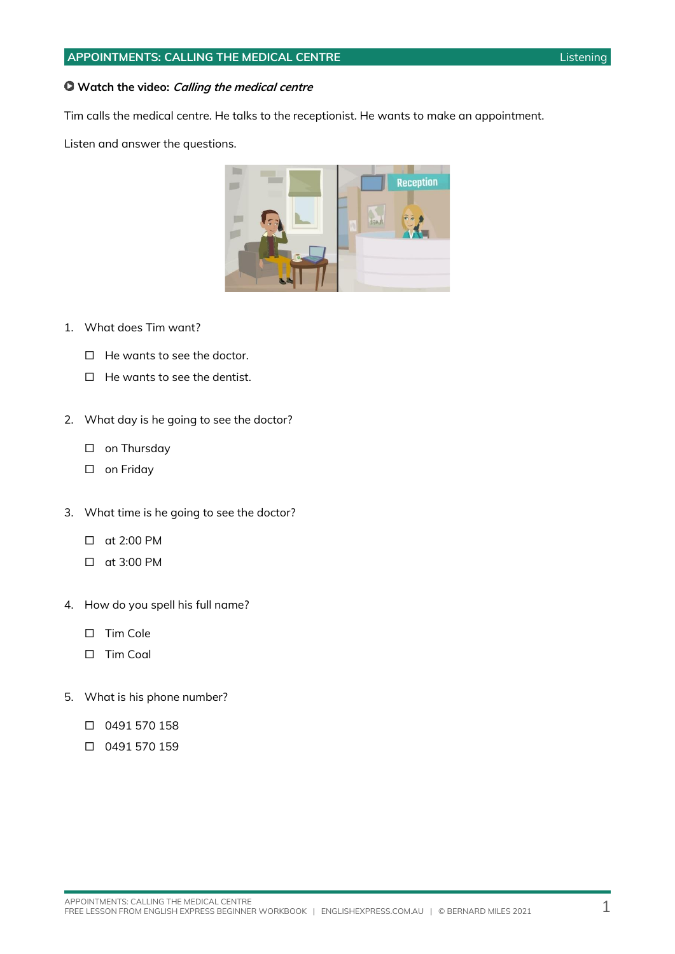### **APPOINTMENTS: CALLING THE MEDICAL CENTRE Listening Listening**

#### **Watch the video: Calling the medical centre**

Tim calls the medical centre. He talks to the receptionist. He wants to make an appointment.

Listen and answer the questions.



- $\Box$  He wants to see the doctor.
- $\Box$  He wants to see the dentist.
- 2. What day is he going to see the doctor?
	- □ on Thursday
	- □ on Friday
- 3. What time is he going to see the doctor?
	- at 2:00 PM
	- at 3:00 PM
- 4. How do you spell his full name?
	- $\square$  Tim Cole
	- $\Box$  Tim Coal
- 5. What is his phone number?
	- 0491 570 158
	- 0491 570 159

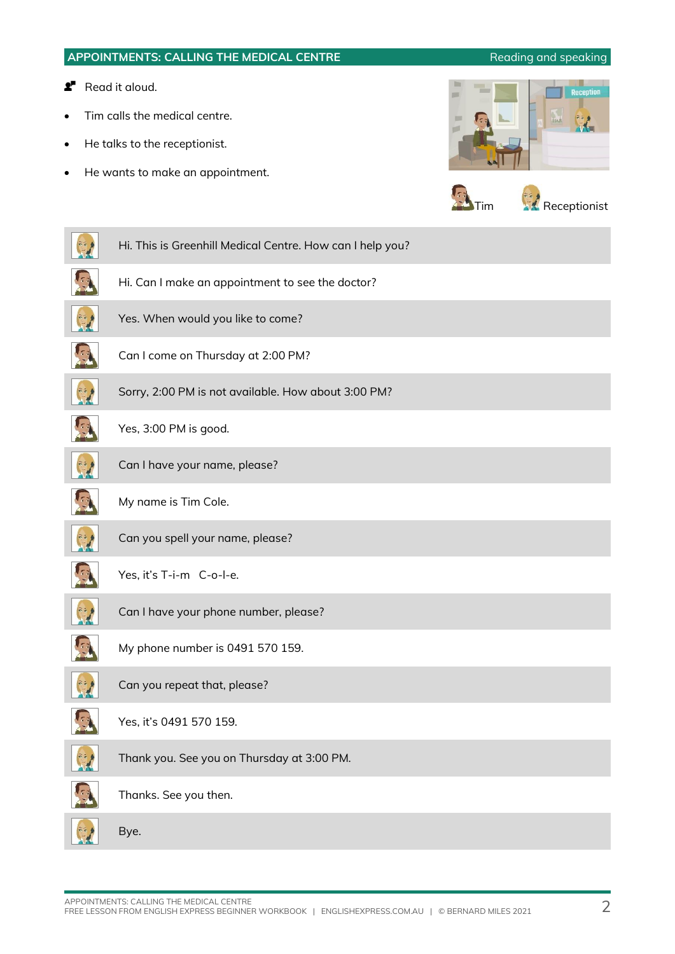### **APPOINTMENTS: CALLING THE MEDICAL CENTRE Reading and speaking**

### **P** Read it aloud.

- Tim calls the medical centre.
- He talks to the receptionist.
- He wants to make an appointment.





| Hi. This is Greenhill Medical Centre. How can I help you? |
|-----------------------------------------------------------|
| Hi. Can I make an appointment to see the doctor?          |
| Yes. When would you like to come?                         |
| Can I come on Thursday at 2:00 PM?                        |
| Sorry, 2:00 PM is not available. How about 3:00 PM?       |
| Yes, 3:00 PM is good.                                     |
| Can I have your name, please?                             |
| My name is Tim Cole.                                      |
| Can you spell your name, please?                          |
| Yes, it's T-i-m C-o-l-e.                                  |
| Can I have your phone number, please?                     |
| My phone number is 0491 570 159.                          |
| Can you repeat that, please?                              |
| Yes, it's 0491 570 159.                                   |
| Thank you. See you on Thursday at 3:00 PM.                |
| Thanks. See you then.                                     |
| Bye.                                                      |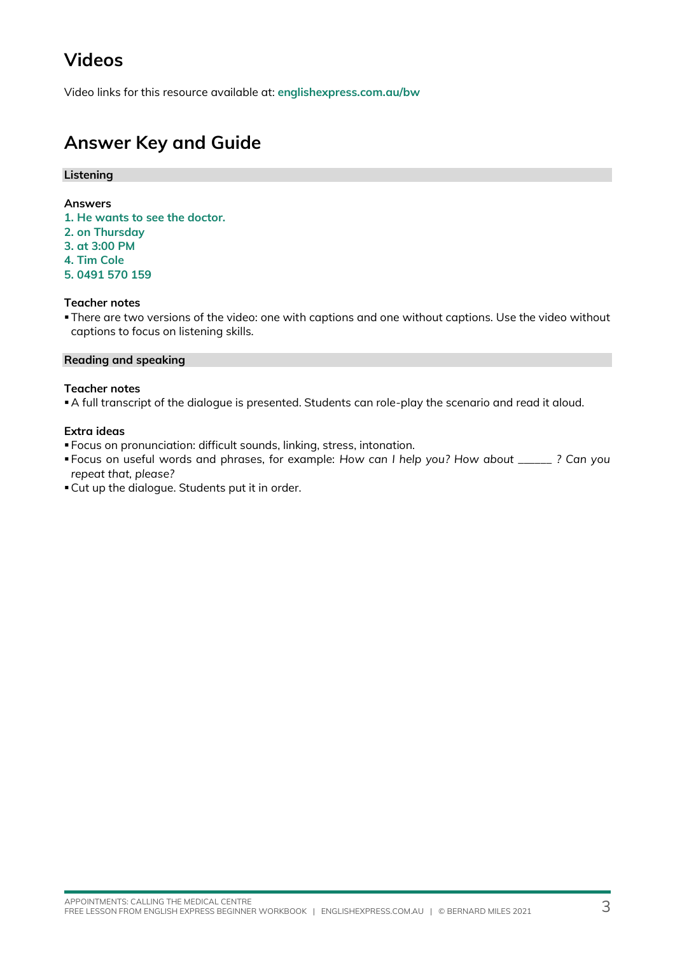## **Videos**

Video links for this resource available at: **[englishexpress.com.au/bw](https://www.englishexpress.com.au/bw)**

# **Answer Key and Guide**

#### **Listening**

#### **Answers**

- **1. He wants to see the doctor.**
- **2. on Thursday**
- **3. at 3:00 PM**
- **4. Tim Cole**
- **5. 0491 570 159**

#### **Teacher notes**

▪There are two versions of the video: one with captions and one without captions. Use the video without captions to focus on listening skills.

#### **Reading and speaking**

#### **Teacher notes**

▪A full transcript of the dialogue is presented. Students can role-play the scenario and read it aloud.

#### **Extra ideas**

- Focus on pronunciation: difficult sounds, linking, stress, intonation.
- Focus on useful words and phrases, for example: *How can I help you? How about \_\_\_\_\_\_ ? Can you repeat that, please?*
- ▪Cut up the dialogue. Students put it in order.